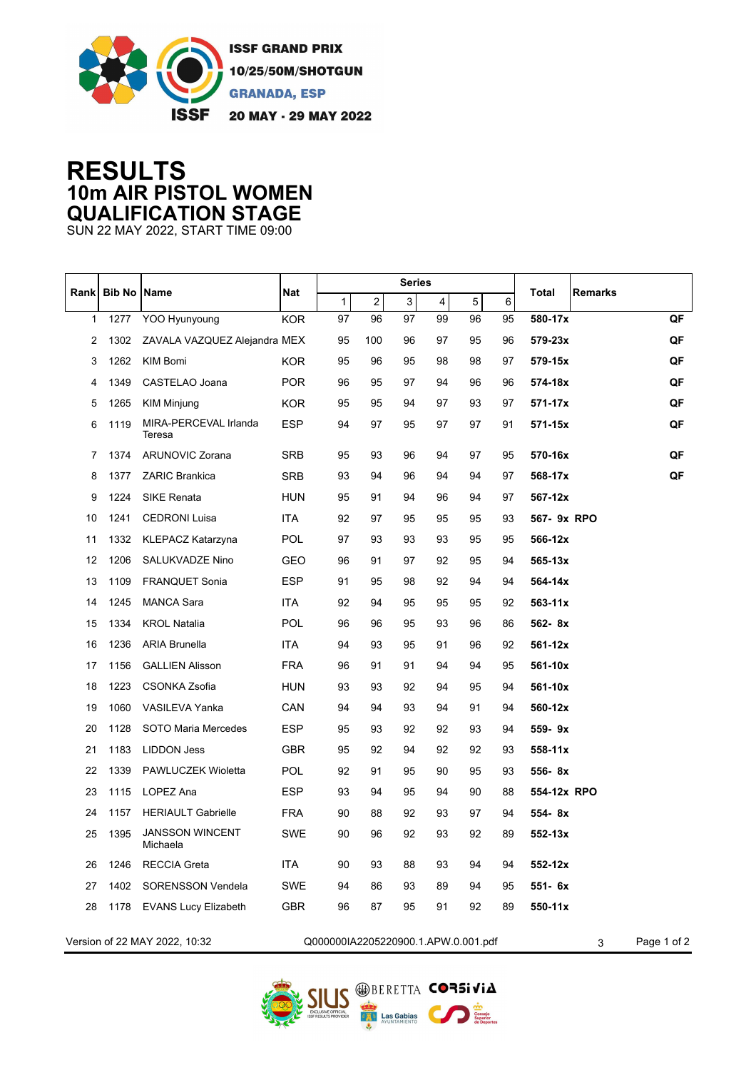

## **RESULTS 10m AIR PISTOL WOMEN QUALIFICATION STAGE**

SUN 22 MAY 2022, START TIME 09:00

| Rank | <b>Bib No Name</b> |                                    | <b>Nat</b> | <b>Series</b>                       |                |                |    |    |    |                  |             |
|------|--------------------|------------------------------------|------------|-------------------------------------|----------------|----------------|----|----|----|------------------|-------------|
|      |                    |                                    |            | $\mathbf{1}$                        | $\overline{c}$ | $\overline{3}$ | 4  | 5  | 6  | Total<br>Remarks |             |
| 1    | 1277               | YOO Hyunyoung                      | <b>KOR</b> | 97                                  | 96             | 97             | 99 | 96 | 95 | 580-17x          | QF          |
| 2    | 1302               | ZAVALA VAZQUEZ Alejandra MEX       |            | 95                                  | 100            | 96             | 97 | 95 | 96 | 579-23x          | QF          |
| 3    | 1262               | KIM Bomi                           | <b>KOR</b> | 95                                  | 96             | 95             | 98 | 98 | 97 | 579-15x          | QF          |
| 4    | 1349               | CASTELAO Joana                     | <b>POR</b> | 96                                  | 95             | 97             | 94 | 96 | 96 | 574-18x          | QF          |
| 5    | 1265               | <b>KIM Minjung</b>                 | <b>KOR</b> | 95                                  | 95             | 94             | 97 | 93 | 97 | 571-17x          | QF          |
| 6    | 1119               | MIRA-PERCEVAL Irlanda<br>Teresa    | <b>ESP</b> | 94                                  | 97             | 95             | 97 | 97 | 91 | 571-15x          | QF          |
| 7    | 1374               | <b>ARUNOVIC Zorana</b>             | SRB        | 95                                  | 93             | 96             | 94 | 97 | 95 | 570-16x          | QF          |
| 8    | 1377               | <b>ZARIC Brankica</b>              | <b>SRB</b> | 93                                  | 94             | 96             | 94 | 94 | 97 | 568-17x          | QF          |
| 9    | 1224               | <b>SIKE Renata</b>                 | HUN        | 95                                  | 91             | 94             | 96 | 94 | 97 | 567-12x          |             |
| 10   | 1241               | <b>CEDRONI Luisa</b>               | <b>ITA</b> | 92                                  | 97             | 95             | 95 | 95 | 93 | 567- 9x RPO      |             |
| 11   | 1332               | <b>KLEPACZ Katarzyna</b>           | <b>POL</b> | 97                                  | 93             | 93             | 93 | 95 | 95 | 566-12x          |             |
| 12   | 1206               | <b>SALUKVADZE Nino</b>             | <b>GEO</b> | 96                                  | 91             | 97             | 92 | 95 | 94 | 565-13x          |             |
| 13   | 1109               | <b>FRANQUET Sonia</b>              | <b>ESP</b> | 91                                  | 95             | 98             | 92 | 94 | 94 | 564-14x          |             |
| 14   | 1245               | <b>MANCA Sara</b>                  | <b>ITA</b> | 92                                  | 94             | 95             | 95 | 95 | 92 | $563 - 11x$      |             |
| 15   | 1334               | <b>KROL Natalia</b>                | POL        | 96                                  | 96             | 95             | 93 | 96 | 86 | 562-8x           |             |
| 16   | 1236               | <b>ARIA Brunella</b>               | <b>ITA</b> | 94                                  | 93             | 95             | 91 | 96 | 92 | 561-12x          |             |
| 17   | 1156               | <b>GALLIEN Alisson</b>             | <b>FRA</b> | 96                                  | 91             | 91             | 94 | 94 | 95 | 561-10x          |             |
| 18   | 1223               | <b>CSONKA Zsofia</b>               | <b>HUN</b> | 93                                  | 93             | 92             | 94 | 95 | 94 | 561-10x          |             |
| 19   | 1060               | VASILEVA Yanka                     | CAN        | 94                                  | 94             | 93             | 94 | 91 | 94 | 560-12x          |             |
| 20   | 1128               | <b>SOTO Maria Mercedes</b>         | ESP        | 95                                  | 93             | 92             | 92 | 93 | 94 | 559-9x           |             |
| 21   | 1183               | LIDDON Jess                        | GBR        | 95                                  | 92             | 94             | 92 | 92 | 93 | 558-11x          |             |
| 22   | 1339               | PAWLUCZEK Wioletta                 | POL        | 92                                  | 91             | 95             | 90 | 95 | 93 | 556-8x           |             |
| 23   | 1115               | LOPEZ Ana                          | ESP        | 93                                  | 94             | 95             | 94 | 90 | 88 | 554-12x RPO      |             |
| 24   | 1157               | <b>HERIAULT Gabrielle</b>          | <b>FRA</b> | 90                                  | 88             | 92             | 93 | 97 | 94 | 554-8x           |             |
| 25   | 1395               | <b>JANSSON WINCENT</b><br>Michaela | SWE        | 90                                  | 96             | 92             | 93 | 92 | 89 | 552-13x          |             |
| 26   | 1246               | <b>RECCIA Greta</b>                | ITA        | 90                                  | 93             | 88             | 93 | 94 | 94 | 552-12x          |             |
| 27   | 1402               | <b>SORENSSON Vendela</b>           | <b>SWE</b> | 94                                  | 86             | 93             | 89 | 94 | 95 | 551- 6x          |             |
| 28   |                    | 1178 EVANS Lucy Elizabeth          | GBR        | 96                                  | 87             | 95             | 91 | 92 | 89 | 550-11x          |             |
|      |                    | Version of 22 MAY 2022, 10:32      |            | Q000000IA2205220900.1.APW.0.001.pdf |                |                |    |    |    | 3                | Page 1 of 2 |